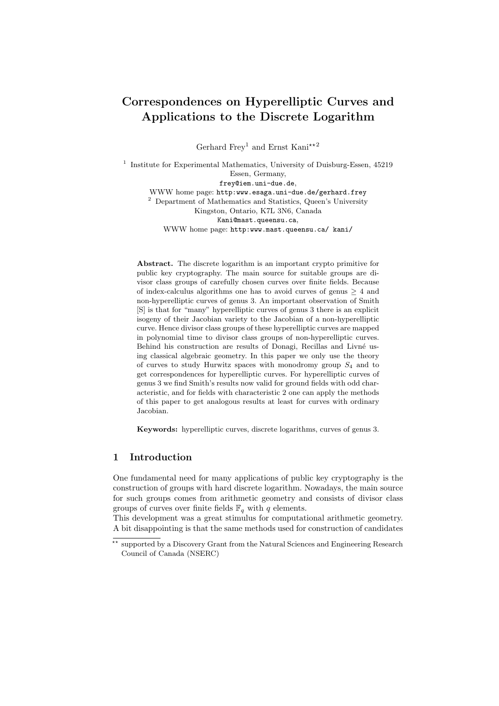# Correspondences on Hyperelliptic Curves and Applications to the Discrete Logarithm

Gerhard Frey<sup>1</sup> and Ernst Kani $\star$ <sup>\*2</sup>

<sup>1</sup> Institute for Experimental Mathematics, University of Duisburg-Essen, 45219 Essen, Germany, frey@iem.uni-due.de, WWW home page: http:www.esaga.uni-due.de/gerhard.frey  $^{\rm 2}$  Department of Mathematics and Statistics, Queen's University Kingston, Ontario, K7L 3N6, Canada Kani@mast.queensu.ca, WWW home page: http:www.mast.queensu.ca/ kani/

Abstract. The discrete logarithm is an important crypto primitive for public key cryptography. The main source for suitable groups are divisor class groups of carefully chosen curves over finite fields. Because of index-calculus algorithms one has to avoid curves of genus  $\geq 4$  and non-hyperelliptic curves of genus 3. An important observation of Smith [S] is that for "many" hyperelliptic curves of genus 3 there is an explicit isogeny of their Jacobian variety to the Jacobian of a non-hyperelliptic curve. Hence divisor class groups of these hyperelliptic curves are mapped in polynomial time to divisor class groups of non-hyperelliptic curves. Behind his construction are results of Donagi, Recillas and Livné using classical algebraic geometry. In this paper we only use the theory of curves to study Hurwitz spaces with monodromy group  $S_4$  and to get correspondences for hyperelliptic curves. For hyperelliptic curves of genus 3 we find Smith's results now valid for ground fields with odd characteristic, and for fields with characteristic 2 one can apply the methods of this paper to get analogous results at least for curves with ordinary Jacobian.

Keywords: hyperelliptic curves, discrete logarithms, curves of genus 3.

# 1 Introduction

One fundamental need for many applications of public key cryptography is the construction of groups with hard discrete logarithm. Nowadays, the main source for such groups comes from arithmetic geometry and consists of divisor class groups of curves over finite fields  $\mathbb{F}_q$  with q elements.

This development was a great stimulus for computational arithmetic geometry. A bit disappointing is that the same methods used for construction of candidates

<sup>\*\*</sup> supported by a Discovery Grant from the Natural Sciences and Engineering Research Council of Canada (NSERC)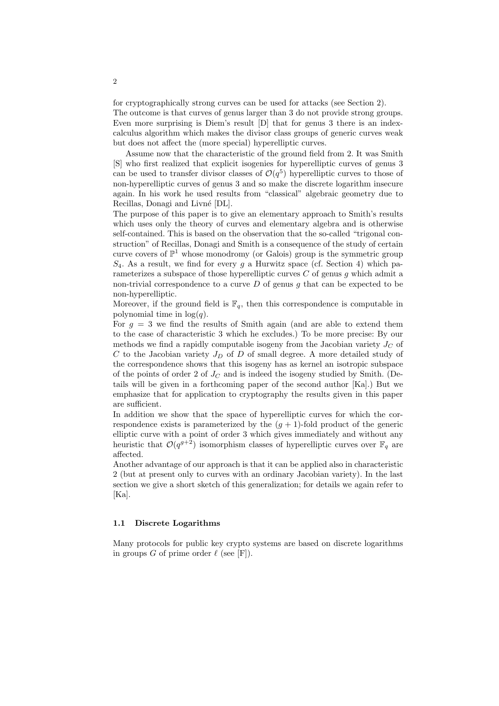for cryptographically strong curves can be used for attacks (see Section 2).

The outcome is that curves of genus larger than 3 do not provide strong groups. Even more surprising is Diem's result [D] that for genus 3 there is an indexcalculus algorithm which makes the divisor class groups of generic curves weak but does not affect the (more special) hyperelliptic curves.

Assume now that the characteristic of the ground field from 2. It was Smith [S] who first realized that explicit isogenies for hyperelliptic curves of genus 3 can be used to transfer divisor classes of  $\mathcal{O}(q^5)$  hyperelliptic curves to those of non-hyperelliptic curves of genus 3 and so make the discrete logarithm insecure again. In his work he used results from "classical" algebraic geometry due to Recillas, Donagi and Livné [DL].

The purpose of this paper is to give an elementary approach to Smith's results which uses only the theory of curves and elementary algebra and is otherwise self-contained. This is based on the observation that the so-called "trigonal construction" of Recillas, Donagi and Smith is a consequence of the study of certain curve covers of  $\mathbb{P}^1$  whose monodromy (or Galois) group is the symmetric group  $S_4$ . As a result, we find for every g a Hurwitz space (cf. Section 4) which parameterizes a subspace of those hyperelliptic curves  $C$  of genus  $g$  which admit a non-trivial correspondence to a curve  $D$  of genus g that can be expected to be non-hyperelliptic.

Moreover, if the ground field is  $\mathbb{F}_q$ , then this correspondence is computable in polynomial time in  $log(q)$ .

For  $g = 3$  we find the results of Smith again (and are able to extend them to the case of characteristic 3 which he excludes.) To be more precise: By our methods we find a rapidly computable isogeny from the Jacobian variety  $J_C$  of  $C$  to the Jacobian variety  $J_D$  of  $D$  of small degree. A more detailed study of the correspondence shows that this isogeny has as kernel an isotropic subspace of the points of order 2 of  $J<sub>C</sub>$  and is indeed the isogeny studied by Smith. (Details will be given in a forthcoming paper of the second author [Ka].) But we emphasize that for application to cryptography the results given in this paper are sufficient.

In addition we show that the space of hyperelliptic curves for which the correspondence exists is parameterized by the  $(g + 1)$ -fold product of the generic elliptic curve with a point of order 3 which gives immediately and without any heuristic that  $\mathcal{O}(q^{g+2})$  isomorphism classes of hyperelliptic curves over  $\mathbb{F}_q$  are affected.

Another advantage of our approach is that it can be applied also in characteristic 2 (but at present only to curves with an ordinary Jacobian variety). In the last section we give a short sketch of this generalization; for details we again refer to [Ka].

### 1.1 Discrete Logarithms

Many protocols for public key crypto systems are based on discrete logarithms in groups G of prime order  $\ell$  (see [F]).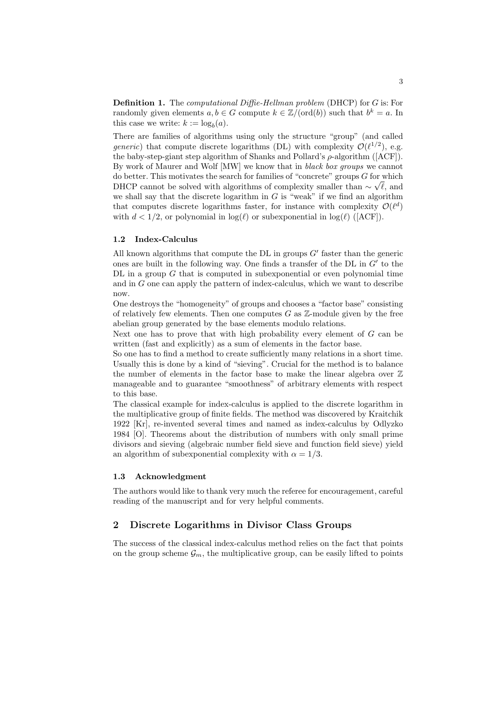**Definition 1.** The *computational Diffie-Hellman problem* (DHCP) for G is: For randomly given elements  $a, b \in G$  compute  $k \in \mathbb{Z}/(\text{ord}(b))$  such that  $b^k = a$ . In this case we write:  $k := \log_b(a)$ .

There are families of algorithms using only the structure "group" (and called generic) that compute discrete logarithms (DL) with complexity  $\mathcal{O}(\ell^{1/2})$ , e.g. the baby-step-giant step algorithm of Shanks and Pollard's  $\rho$ -algorithm ([ACF]). By work of Maurer and Wolf [MW] we know that in *black box groups* we cannot do better. This motivates the search for families of "concrete" groups  $G$  for which DHCP cannot be solved with algorithms of complexity smaller than  $\sim \sqrt{\ell}$ , and we shall say that the discrete logarithm in  $G$  is "weak" if we find an algorithm that computes discrete logarithms faster, for instance with complexity  $\mathcal{O}(\ell^d)$ with  $d < 1/2$ , or polynomial in  $log(\ell)$  or subexponential in  $log(\ell)$  ([ACF]).

#### 1.2 Index-Calculus

All known algorithms that compute the DL in groups  $G'$  faster than the generic ones are built in the following way. One finds a transfer of the  $DL$  in  $G'$  to the  $DL$  in a group  $G$  that is computed in subexponential or even polynomial time and in G one can apply the pattern of index-calculus, which we want to describe now.

One destroys the "homogeneity" of groups and chooses a "factor base" consisting of relatively few elements. Then one computes  $G$  as  $\mathbb{Z}$ -module given by the free abelian group generated by the base elements modulo relations.

Next one has to prove that with high probability every element of  $G$  can be written (fast and explicitly) as a sum of elements in the factor base.

So one has to find a method to create sufficiently many relations in a short time. Usually this is done by a kind of "sieving". Crucial for the method is to balance the number of elements in the factor base to make the linear algebra over  $\mathbb Z$ manageable and to guarantee "smoothness" of arbitrary elements with respect to this base.

The classical example for index-calculus is applied to the discrete logarithm in the multiplicative group of finite fields. The method was discovered by Kraitchik 1922 [Kr], re-invented several times and named as index-calculus by Odlyzko 1984 [O]. Theorems about the distribution of numbers with only small prime divisors and sieving (algebraic number field sieve and function field sieve) yield an algorithm of subexponential complexity with  $\alpha = 1/3$ .

#### 1.3 Acknowledgment

The authors would like to thank very much the referee for encouragement, careful reading of the manuscript and for very helpful comments.

### 2 Discrete Logarithms in Divisor Class Groups

The success of the classical index-calculus method relies on the fact that points on the group scheme  $\mathcal{G}_m$ , the multiplicative group, can be easily lifted to points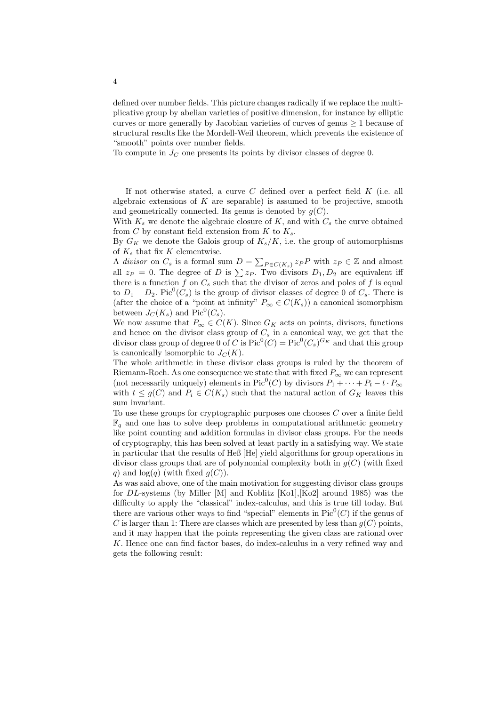defined over number fields. This picture changes radically if we replace the multiplicative group by abelian varieties of positive dimension, for instance by elliptic curves or more generally by Jacobian varieties of curves of genus  $\geq 1$  because of structural results like the Mordell-Weil theorem, which prevents the existence of "smooth" points over number fields.

To compute in  $J_C$  one presents its points by divisor classes of degree 0.

If not otherwise stated, a curve  $C$  defined over a perfect field  $K$  (i.e. all algebraic extensions of  $K$  are separable) is assumed to be projective, smooth and geometrically connected. Its genus is denoted by  $q(C)$ .

With  $K_s$  we denote the algebraic closure of K, and with  $C_s$  the curve obtained from C by constant field extension from  $K$  to  $K_s$ .

By  $G_K$  we denote the Galois group of  $K_s/K$ , i.e. the group of automorphisms of  $K_s$  that fix K elementwise.

or  $K_s$  that if  $X$  be defined wise.<br>A *divisor* on  $C_s$  is a formal sum  $D = \sum$  $P \in C(K_s)$   $\mathcal{Z}_P P$  with  $\mathcal{Z}_P \in \mathbb{Z}$  and almost all  $z_P = 0$ . The degree of D is  $\sum z_P$ . Two divisors  $D_1, D_2$  are equivalent iff there is a function f on  $C_s$  such that the divisor of zeros and poles of f is equal to  $D_1 - D_2$ . Pic<sup>0</sup>( $C_s$ ) is the group of divisor classes of degree 0 of  $C_s$ . There is (after the choice of a "point at infinity"  $P_{\infty} \in C(K_s)$ ) a canonical isomorphism between  $J_C(K_s)$  and  $Pic^0(C_s)$ .

We now assume that  $P_{\infty} \in C(K)$ . Since  $G_K$  acts on points, divisors, functions and hence on the divisor class group of  $C_s$  in a canonical way, we get that the divisor class group of degree 0 of C is  $Pic^0(C) = Pic^0(C_s)^{G_K}$  and that this group is canonically isomorphic to  $J_C(K)$ .

The whole arithmetic in these divisor class groups is ruled by the theorem of Riemann-Roch. As one consequence we state that with fixed  $P_{\infty}$  we can represent (not necessarily uniquely) elements in Pic<sup>0</sup>(C) by divisors  $P_1 + \cdots + P_t - t \cdot P_{\infty}$ with  $t \leq q(C)$  and  $P_i \in C(K_s)$  such that the natural action of  $G_K$  leaves this sum invariant.

To use these groups for cryptographic purposes one chooses  $C$  over a finite field  $\mathbb{F}_q$  and one has to solve deep problems in computational arithmetic geometry like point counting and addition formulas in divisor class groups. For the needs of cryptography, this has been solved at least partly in a satisfying way. We state in particular that the results of Heß [He] yield algorithms for group operations in divisor class groups that are of polynomial complexity both in  $g(C)$  (with fixed q) and  $log(q)$  (with fixed  $q(C)$ ).

As was said above, one of the main motivation for suggesting divisor class groups for DL-systems (by Miller [M] and Koblitz [Ko1],[Ko2] around 1985) was the difficulty to apply the "classical" index-calculus, and this is true till today. But there are various other ways to find "special" elements in  $Pic^0(C)$  if the genus of C is larger than 1: There are classes which are presented by less than  $g(C)$  points, and it may happen that the points representing the given class are rational over K. Hence one can find factor bases, do index-calculus in a very refined way and gets the following result: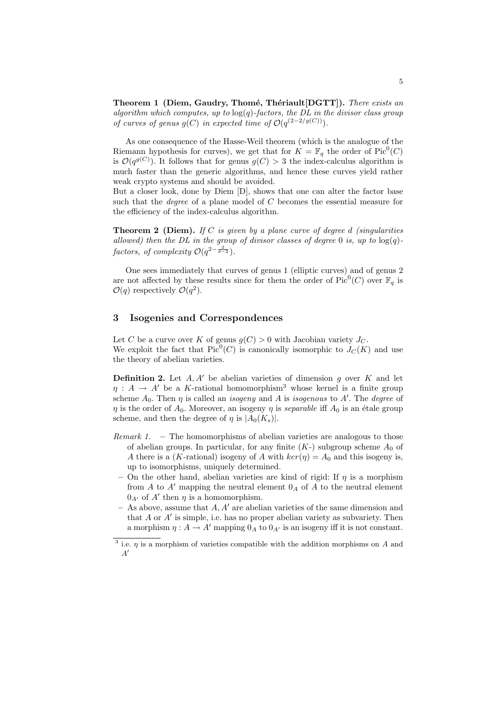Theorem 1 (Diem, Gaudry, Thomé, Thériault[DGTT]). There exists an algorithm which computes, up to  $log(q)$ -factors, the DL in the divisor class group of curves of genus  $g(C)$  in expected time of  $\mathcal{O}(q^{(2-2/g(C))})$ .

As one consequence of the Hasse-Weil theorem (which is the analogue of the Riemann hypothesis for curves), we get that for  $K = \mathbb{F}_q$  the order of Pic<sup>0</sup>(C) is  $\mathcal{O}(q^{g(C)})$ . It follows that for genus  $g(C) > 3$  the index-calculus algorithm is much faster than the generic algorithms, and hence these curves yield rather weak crypto systems and should be avoided.

But a closer look, done by Diem [D], shows that one can alter the factor base such that the *degree* of a plane model of  $C$  becomes the essential measure for the efficiency of the index-calculus algorithm.

**Theorem 2 (Diem).** If C is given by a plane curve of degree d (singularities allowed) then the DL in the group of divisor classes of degree 0 is, up to  $log(q)$ factors, of complexity  $\mathcal{O}(q^{2-\frac{2}{d-2}})$ .

One sees immediately that curves of genus 1 (elliptic curves) and of genus 2 are not affected by these results since for them the order of  $Pic^0(C)$  over  $\mathbb{F}_q$  is  $\mathcal{O}(q)$  respectively  $\mathcal{O}(q^2)$ .

# 3 Isogenies and Correspondences

Let C be a curve over K of genus  $q(C) > 0$  with Jacobian variety  $J_C$ . We exploit the fact that  $Pic^0(C)$  is canonically isomorphic to  $J_C(K)$  and use the theory of abelian varieties.

**Definition 2.** Let  $A, A'$  be abelian varieties of dimension g over K and let  $\eta : A \to A'$  be a K-rational homomorphism<sup>3</sup> whose kernel is a finite group scheme  $A_0$ . Then  $\eta$  is called an *isogeny* and A is *isogenous* to A'. The *degree* of  $\eta$  is the order of  $A_0$ . Moreover, an isogeny  $\eta$  is separable iff  $A_0$  is an étale group scheme, and then the degree of  $\eta$  is  $|A_0(K_s)|$ .

- Remark 1. The homomorphisms of abelian varieties are analogous to those of abelian groups. In particular, for any finite  $(K-)$  subgroup scheme  $A_0$  of A there is a (K-rational) isogeny of A with  $ker(\eta) = A_0$  and this isogeny is, up to isomorphisms, uniquely determined.
	- On the other hand, abelian varieties are kind of rigid: If  $\eta$  is a morphism from A to A' mapping the neutral element  $0_A$  of A to the neutral element  $0_{A'}$  of  $A'$  then  $\eta$  is a homomorphism.
- As above, assume that  $A, A'$  are abelian varieties of the same dimension and that  $A$  or  $A'$  is simple, i.e. has no proper abelian variety as subvariety. Then a morphism  $\eta : A \to A'$  mapping  $0_A$  to  $0_{A'}$  is an isogeny iff it is not constant.

<sup>&</sup>lt;sup>3</sup> i.e.  $\eta$  is a morphism of varieties compatible with the addition morphisms on A and  $A'$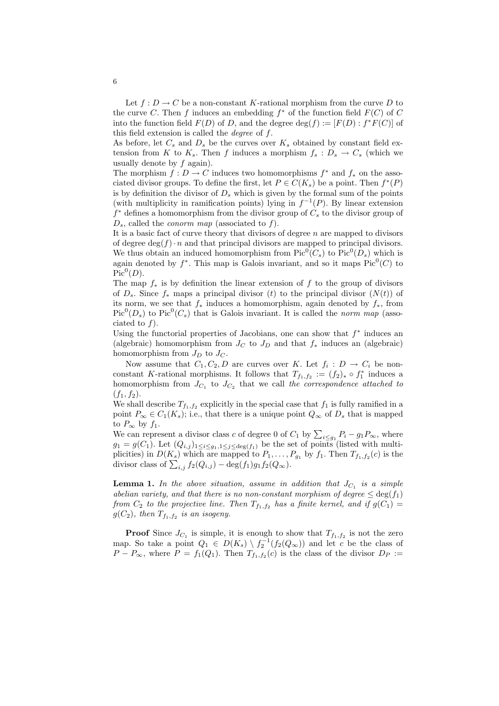Let  $f: D \to C$  be a non-constant K-rational morphism from the curve D to the curve C. Then f induces an embedding  $f^*$  of the function field  $F(C)$  of C into the function field  $F(D)$  of D, and the degree  $\deg(f) := [F(D) : f^*F(C)]$  of this field extension is called the *degree* of  $f$ .

As before, let  $C_s$  and  $D_s$  be the curves over  $K_s$  obtained by constant field extension from K to  $K_s$ . Then f induces a morphism  $f_s: D_s \to C_s$  (which we usually denote by  $f$  again).

The morphism  $f: D \to C$  induces two homomorphisms  $f^*$  and  $f_*$  on the associated divisor groups. To define the first, let  $P \in C(K_s)$  be a point. Then  $f^*(P)$ is by definition the divisor of  $D_s$  which is given by the formal sum of the points (with multiplicity in ramification points) lying in  $f^{-1}(P)$ . By linear extension  $f^*$  defines a homomorphism from the divisor group of  $C_s$  to the divisor group of  $D_s$ , called the *conorm map* (associated to f).

It is a basic fact of curve theory that divisors of degree  $n$  are mapped to divisors of degree  $\deg(f) \cdot n$  and that principal divisors are mapped to principal divisors. We thus obtain an induced homomorphism from  $Pic^0(C_s)$  to  $Pic^0(D_s)$  which is again denoted by  $f^*$ . This map is Galois invariant, and so it maps  $Pic^0(C)$  to  $Pic^0(D).$ 

The map  $f_*$  is by definition the linear extension of f to the group of divisors of  $D_s$ . Since  $f_*$  maps a principal divisor (t) to the principal divisor  $(N(t))$  of its norm, we see that  $f_*$  induces a homomorphism, again denoted by  $f_*$ , from  $Pic^{0}(D_s)$  to  $Pic^{0}(C_s)$  that is Galois invariant. It is called the norm map (associated to  $f$ ).

Using the functorial properties of Jacobians, one can show that  $f^*$  induces an (algebraic) homomorphism from  $J_C$  to  $J_D$  and that  $f_*$  induces an (algebraic) homomorphism from  $J_D$  to  $J_C$ .

Now assume that  $C_1, C_2, D$  are curves over K. Let  $f_i : D \to C_i$  be nonconstant K-rational morphisms. It follows that  $T_{f_1,f_2} := (f_2)_* \circ f_1^*$  induces a homomorphism from  $J_{C_1}$  to  $J_{C_2}$  that we call the correspondence attached to  $(f_1, f_2)$ .

We shall describe  $T_{f_1,f_2}$  explicitly in the special case that  $f_1$  is fully ramified in a point  $P_{\infty} \in C_1(K_s)$ ; i.e., that there is a unique point  $Q_{\infty}$  of  $D_s$  that is mapped to  $P_{\infty}$  by  $f_1$ .

We can represent a divisor class c of degree 0 of  $C_1$  by  $\sum_{i \leq g_1} P_i - g_1 P_{\infty}$ , where  $g_1 = g(C_1)$ . Let  $(Q_{i,j})_{1 \leq i \leq g_1, 1 \leq j \leq \deg(f_1)}$  be the set of points (listed with multiplicities) in  $D(K_s)$  which are mapped to  $P_1, \ldots, P_{g_1}$  by  $f_1$ . Then  $T_{f_1,f_2}(c)$  is the pincities) in  $D(K_s)$  which are mapped to  $P_1, \ldots, P_k$ <br>divisor class of  $\sum_{i,j} f_2(Q_{i,j}) - \deg(f_1)g_1f_2(Q_\infty)$ .

**Lemma 1.** In the above situation, assume in addition that  $J_{C_1}$  is a simple abelian variety, and that there is no non-constant morphism of degree  $\leq$  deg(f<sub>1</sub>) from  $C_2$  to the projective line. Then  $T_{f_1,f_2}$  has a finite kernel, and if  $g(C_1)$  =  $g(C_2)$ , then  $T_{f_1,f_2}$  is an isogeny.

**Proof** Since  $J_{C_1}$  is simple, it is enough to show that  $T_{f_1,f_2}$  is not the zero map. So take a point  $Q_1 \in D(K_s) \setminus f_2^{-1}(f_2(Q_\infty))$  and let c be the class of  $P - P_{\infty}$ , where  $P = f_1(Q_1)$ . Then  $T_{f_1, f_2}(c)$  is the class of the divisor  $D_P :=$ 

6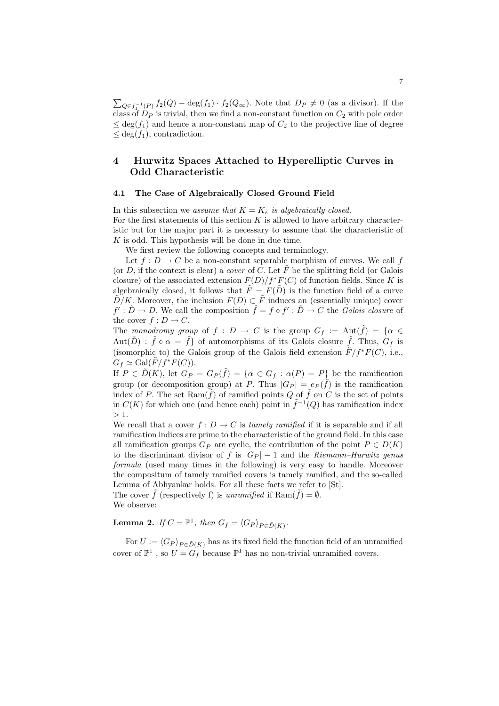$\overline{ }$  $Q \in f_1^{-1}(P)$   $f_2(Q) - \deg(f_1) \cdot f_2(Q_\infty)$ . Note that  $D_P \neq 0$  (as a divisor). If the class of  $D<sub>P</sub>$  is trivial, then we find a non-constant function on  $C<sub>2</sub>$  with pole order  $\leq$  deg(f<sub>1</sub>) and hence a non-constant map of  $C_2$  to the projective line of degree  $\leq$  deg( $f_1$ ), contradiction.

# 4 Hurwitz Spaces Attached to Hyperelliptic Curves in Odd Characteristic

#### 4.1 The Case of Algebraically Closed Ground Field

In this subsection we assume that  $K = K_s$  is algebraically closed. For the first statements of this section  $K$  is allowed to have arbitrary characteristic but for the major part it is necessary to assume that the characteristic of  $K$  is odd. This hypothesis will be done in due time.

We first review the following concepts and terminology.

Let  $f: D \to C$  be a non-constant separable morphism of curves. We call f (or D, if the context is clear) a *cover* of C. Let  $\tilde{F}$  be the splitting field (or Galois closure) of the associated extension  $F(D)/f^*F(C)$  of function fields. Since K is algebraically closed, it follows that  $\tilde{F} = F(\tilde{D})$  is the function field of a curve  $\tilde{D}/K$ . Moreover, the inclusion  $F(D) \subset \tilde{F}$  induces an (essentially unique) cover  $f': \tilde{D} \to D$ . We call the composition  $\tilde{f} = f \circ f': \tilde{D} \to C$  the *Galois closure* of the cover  $f: D \to C$ .

The monodromy group of  $f : D \to C$  is the group  $G_f := \text{Aut}(\tilde{f}) = \{ \alpha \in$  $Aut(\tilde{D})$ :  $\tilde{f} \circ \alpha = \tilde{f}$  of automorphisms of its Galois closure  $\tilde{f}$ . Thus,  $G_f$  is (isomorphic to) the Galois group of the Galois field extension  $\tilde{F}/f^*F(C)$ , i.e.,  $G_f \simeq \text{Gal}(\tilde{F}/f^*F(C)).$ 

If  $P \in \tilde{D}(K)$ , let  $G_P = G_P(\tilde{f}) = {\alpha \in G_f : \alpha(P) = P}$  be the ramification group (or decomposition group) at P. Thus  $|G_P| = e_P(\tilde{f})$  is the ramification index of P. The set  $\text{Ram}(\tilde{f})$  of ramified points Q of  $\tilde{f}$  on C is the set of points in  $C(K)$  for which one (and hence each) point in  $\tilde{f}^{-1}(Q)$  has ramification index  $> 1$ .

We recall that a cover  $f: D \to C$  is tamely ramified if it is separable and if all ramification indices are prime to the characteristic of the ground field. In this case all ramification groups  $G_P$  are cyclic, the contribution of the point  $P \in D(K)$ to the discriminant divisor of f is  $|G_P| - 1$  and the Riemann–Hurwitz genus formula (used many times in the following) is very easy to handle. Moreover the compositum of tamely ramified covers is tamely ramified, and the so-called Lemma of Abhyankar holds. For all these facts we refer to [St]. The cover  $\tilde{f}$  (respectively f) is unramified if  $\text{Ram}(\tilde{f}) = \emptyset$ .

We observe:

**Lemma 2.** If  $C = \mathbb{P}^1$ , then  $G_f = \langle G_P \rangle_{P \in \tilde{D}(K)}$ .

For  $U := \langle G_P \rangle_{P \in \tilde{D}(K)}$  has as its fixed field the function field of an unramified cover of  $\mathbb{P}^1$ , so  $U = G_f$  because  $\mathbb{P}^1$  has no non-trivial unramified covers.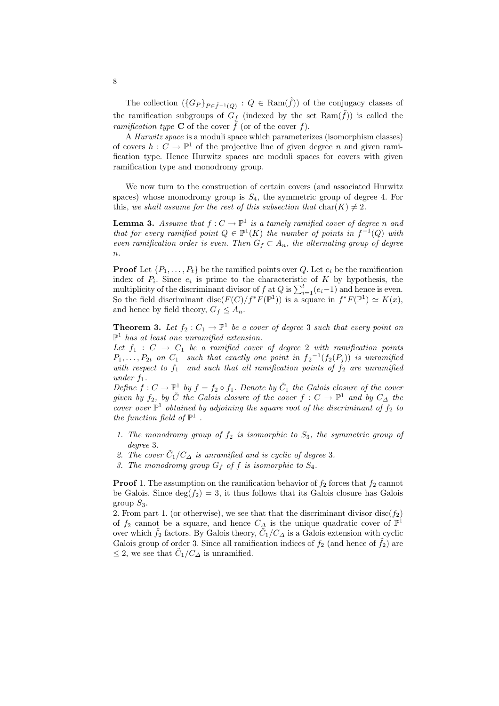The collection  $(\{G_P\}_{P \in \tilde{f}^{-1}(Q)} : Q \in \text{Ram}(\tilde{f}))$  of the conjugacy classes of the ramification subgroups of  $G_f$  (indexed by the set  $\text{Ram}(\tilde{f})$ ) is called the ramification type **C** of the cover  $\hat{f}$  (or of the cover  $f$ ).

A Hurwitz space is a moduli space which parameterizes (isomorphism classes) of covers  $h: C \to \mathbb{P}^1$  of the projective line of given degree n and given ramification type. Hence Hurwitz spaces are moduli spaces for covers with given ramification type and monodromy group.

We now turn to the construction of certain covers (and associated Hurwitz spaces) whose monodromy group is  $S_4$ , the symmetric group of degree 4. For this, we shall assume for the rest of this subsection that  $char(K) \neq 2$ .

**Lemma 3.** Assume that  $f: C \to \mathbb{P}^1$  is a tamely ramified cover of degree n and that for every ramified point  $Q \in \mathbb{P}^1(K)$  the number of points in  $f^{-1}(Q)$  with even ramification order is even. Then  $G_f \subset A_n$ , the alternating group of degree  $n$ .

**Proof** Let  $\{P_1, \ldots, P_t\}$  be the ramified points over Q. Let  $e_i$  be the ramification index of  $P_i$ . Since  $e_i$  is prime to the characteristic of K by hypothesis, the multiplicity of the discriminant divisor of f at Q is  $\sum_{i=1}^{t} (e_i-1)$  and hence is even. So the field discriminant disc( $F(C)/f^*F(\mathbb{P}^1)$ ) is a square in  $f^*F(\mathbb{P}^1) \simeq K(x)$ , and hence by field theory,  $G_f \leq A_n$ .

**Theorem 3.** Let  $f_2: C_1 \to \mathbb{P}^1$  be a cover of degree 3 such that every point on  $\mathbb{P}^1$  has at least one unramified extension.

Let  $f_1 : C \rightarrow C_1$  be a ramified cover of degree 2 with ramification points  $P_1, \ldots, P_{2t}$  on  $C_1$  such that exactly one point in  $f_2^{-1}(f_2(P_j))$  is unramified with respect to  $f_1$  and such that all ramification points of  $f_2$  are unramified under  $f_1$ .

Define  $f: C \to \mathbb{P}^1$  by  $f = f_2 \circ f_1$ . Denote by  $\tilde{C}_1$  the Galois closure of the cover given by  $f_2$ , by  $\tilde{C}$  the Galois closure of the cover  $f: C \to \mathbb{P}^1$  and by  $C_{\Delta}$  the cover over  $\mathbb{P}^1$  obtained by adjoining the square root of the discriminant of  $f_2$  to the function field of  $\mathbb{P}^1$ .

- 1. The monodromy group of  $f_2$  is isomorphic to  $S_3$ , the symmetric group of degree 3.
- 2. The cover  $\tilde{C}_1/C_{\Delta}$  is unramified and is cyclic of degree 3.
- 3. The monodromy group  $G_f$  of f is isomorphic to  $S_4$ .

**Proof** 1. The assumption on the ramification behavior of  $f_2$  forces that  $f_2$  cannot be Galois. Since  $\deg(f_2) = 3$ , it thus follows that its Galois closure has Galois group  $S_3$ .

2. From part 1. (or otherwise), we see that that the discriminant divisor disc( $f_2$ ) of  $f_2$  cannot be a square, and hence  $C_{\Delta}$  is the unique quadratic cover of  $\mathbb{P}^1$ over which  $\tilde{f}_2$  factors. By Galois theory,  $\overline{\tilde{C}}_1/C_{\Delta}$  is a Galois extension with cyclic Galois group of order 3. Since all ramification indices of  $f_2$  (and hence of  $f_2$ ) are  $\leq$  2, we see that  $\tilde{C}_1/C_{\Delta}$  is unramified.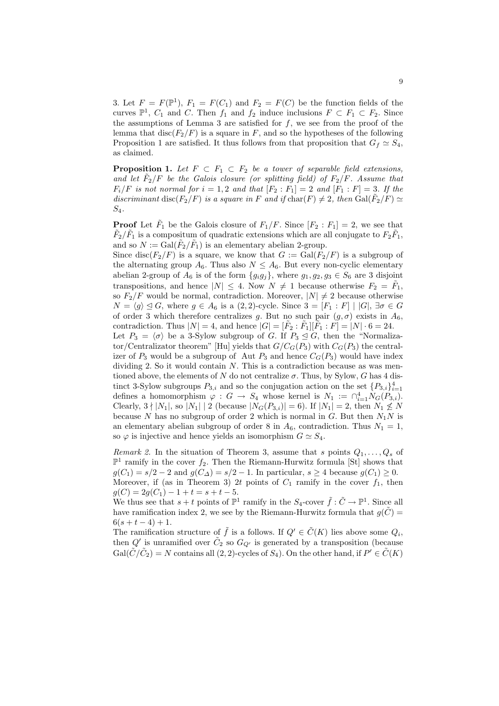3. Let  $F = F(\mathbb{P}^1)$ ,  $F_1 = F(C_1)$  and  $F_2 = F(C)$  be the function fields of the curves  $\mathbb{P}^1$ ,  $C_1$  and  $C$ . Then  $f_1$  and  $f_2$  induce inclusions  $F \subset F_1 \subset F_2$ . Since the assumptions of Lemma 3 are satisfied for  $f$ , we see from the proof of the lemma that disc( $F_2/F$ ) is a square in F, and so the hypotheses of the following Proposition 1 are satisfied. It thus follows from that proposition that  $G_f \simeq S_4$ , as claimed.

**Proposition 1.** Let  $F \subset F_1 \subset F_2$  be a tower of separable field extensions, and let  $\tilde{F}_2/F$  be the Galois closure (or splitting field) of  $F_2/F$ . Assume that  $F_i/F$  is not normal for  $i = 1, 2$  and that  $[F_2 : F_1] = 2$  and  $[F_1 : F] = 3$ . If the discriminant disc( $F_2/F$ ) is a square in F and if  $char(F) \neq 2$ , then  $Gal(\tilde{F}_2/F) \simeq$  $S_4$ .

**Proof** Let  $\tilde{F}_1$  be the Galois closure of  $F_1/F$ . Since  $[F_2 : F_1] = 2$ , we see that  $\tilde{F}_2/\tilde{F}_1$  is a compositum of quadratic extensions which are all conjugate to  $F_2\tilde{F}_1$ , and so  $N := \text{Gal}(\tilde{F}_2/\tilde{F}_1)$  is an elementary abelian 2-group.

Since disc( $F_2/F$ ) is a square, we know that  $G := \text{Gal}(F_2/F)$  is a subgroup of the alternating group  $A_6$ . Thus also  $N \leq A_6$ . But every non-cyclic elementary abelian 2-group of  $A_6$  is of the form  $\{g_i g_j\}$ , where  $g_1, g_2, g_3 \in S_6$  are 3 disjoint transpositions, and hence  $|N| \leq 4$ . Now  $N \neq 1$  because otherwise  $F_2 = \tilde{F}_1$ , so  $F_2/F$  would be normal, contradiction. Moreover,  $|N| \neq 2$  because otherwise  $N = \langle g \rangle \trianglelefteq G$ , where  $g \in A_6$  is a  $(2, 2)$ -cycle. Since  $3 = [F_1 : F] | |G|$ ,  $\exists \sigma \in G$ of order 3 which therefore centralizes g. But no such pair  $(g, \sigma)$  exists in  $A_6$ , contradiction. Thus  $|N|=4$ , and hence  $|G|=[\tilde{F}_2:\tilde{F}_1][\tilde{F}_1:\tilde{F}]=|N|\cdot 6=24$ . Let  $P_3 = \langle \sigma \rangle$  be a 3-Sylow subgroup of G. If  $P_3 \trianglelefteq G$ , then the "Normalizator/Centralizator theorem" [Hu] yields that  $G/C<sub>G</sub>(P<sub>3</sub>)$  with  $C<sub>G</sub>(P<sub>3</sub>)$  the central-

izer of  $P_3$  would be a subgroup of Aut  $P_3$  and hence  $C_G(P_3)$  would have index dividing 2. So it would contain  $N$ . This is a contradiction because as was mentioned above, the elements of N do not centralize  $\sigma$ . Thus, by Sylow, G has 4 distinct 3-Sylow subgroups  $P_{3,i}$  and so the conjugation action on the set  $\{P_{3,i}\}_{i=1}^4$ defines a homomorphism  $\varphi : G \to S_4$  whose kernel is  $N_1 := \bigcap_{i=1}^4 N_G(P_{3,i}).$ Clearly,  $3 \nmid |N_1|$ , so  $|N_1| \nmid 2$  (because  $|N_G(P_{3,i})| = 6$ ). If  $|N_1| = 2$ , then  $N_1 \nleq N$ because N has no subgroup of order 2 which is normal in G. But then  $N_1N$  is an elementary abelian subgroup of order 8 in  $A_6$ , contradiction. Thus  $N_1 = 1$ , so  $\varphi$  is injective and hence yields an isomorphism  $G \simeq S_4$ .

Remark 2. In the situation of Theorem 3, assume that s points  $Q_1, \ldots, Q_s$  of  $\mathbb{P}^1$  ramify in the cover  $f_2$ . Then the Riemann-Hurwitz formula [St] shows that  $g(C_1) = s/2 - 2$  and  $g(C_\Delta) = s/2 - 1$ . In particular,  $s \geq 4$  because  $g(C_1) \geq 0$ . Moreover, if (as in Theorem 3) 2t points of  $C_1$  ramify in the cover  $f_1$ , then  $g(C) = 2g(C_1) - 1 + t = s + t - 5.$ 

We thus see that  $s+t$  points of  $\mathbb{P}^1$  ramify in the  $S_4$ -cover  $\tilde{f}: \tilde{C} \to \mathbb{P}^1$ . Since all have ramification index 2, we see by the Riemann-Hurwitz formula that  $g(\tilde{C}) =$  $6(s + t - 4) + 1.$ 

The ramification structure of  $\tilde{f}$  is a follows. If  $Q' \in \tilde{C}(K)$  lies above some  $Q_i$ , then Q' is unramified over  $\tilde{C}_2$  so  $G_{Q'}$  is generated by a transposition (because  $Gal(\tilde{C}/\tilde{C}_2) = N$  contains all  $(2, 2)$ -cycles of  $S_4$ ). On the other hand, if  $P' \in \tilde{C}(K)$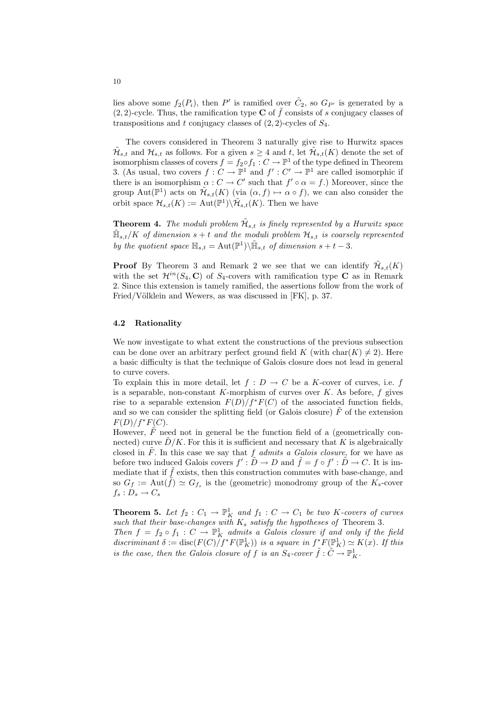lies above some  $f_2(P_i)$ , then P' is ramified over  $\tilde{C}_2$ , so  $G_{P'}$  is generated by a  $(2, 2)$ -cycle. Thus, the ramification type **C** of f consists of s conjugacy classes of transpositions and t conjugacy classes of  $(2, 2)$ -cycles of  $S_4$ .

The covers considered in Theorem 3 naturally give rise to Hurwitz spaces  $\mathcal{H}_{s,t}$  and  $\mathcal{H}_{s,t}$  as follows. For a given  $s \geq 4$  and t, let  $\mathcal{H}_{s,t}(K)$  denote the set of isomorphism classes of covers  $f = f_2 \circ f_1 : C \to \mathbb{P}^1$  of the type defined in Theorem 3. (As usual, two covers  $f: C \to \mathbb{P}^1$  and  $f': C' \to \mathbb{P}^1$  are called isomorphic if there is an isomorphism  $\alpha: C \to C'$  such that  $f' \circ \alpha = f$ .) Moreover, since the group Aut( $\mathbb{P}^1$ ) acts on  $\tilde{\mathcal{H}}_{s,t}(K)$  (via  $(\alpha, f) \mapsto \alpha \circ f$ ), we can also consider the orbit space  $\mathcal{H}_{s,t}(K) := \text{Aut}(\mathbb{P}^1) \backslash \tilde{\mathcal{H}}_{s,t}(K)$ . Then we have

**Theorem 4.** The moduli problem  $\tilde{\mathcal{H}}_{s,t}$  is finely represented by a Hurwitz space  $\tilde{\mathbb{H}}_{s,t}/K$  of dimension  $s+t$  and the moduli problem  $\mathcal{H}_{s,t}$  is coarsely represented by the quotient space  $\mathbb{H}_{s,t} = \text{Aut}(\mathbb{P}^1) \backslash \tilde{\mathbb{H}}_{s,t}$  of dimension  $s + t - 3$ .

**Proof** By Theorem 3 and Remark 2 we see that we can identify  $\tilde{\mathcal{H}}_{s,t}(K)$ with the set  $\mathcal{H}^{in}(S_4, \mathbf{C})$  of  $S_4$ -covers with ramification type **C** as in Remark 2. Since this extension is tamely ramified, the assertions follow from the work of Fried/Völklein and Wewers, as was discussed in [FK], p. 37.

#### 4.2 Rationality

We now investigate to what extent the constructions of the previous subsection can be done over an arbitrary perfect ground field K (with char(K)  $\neq$  2). Here a basic difficulty is that the technique of Galois closure does not lead in general to curve covers.

To explain this in more detail, let  $f : D \to C$  be a K-cover of curves, i.e. f is a separable, non-constant K-morphism of curves over  $K$ . As before, f gives rise to a separable extension  $F(D)/f^*F(C)$  of the associated function fields, and so we can consider the splitting field (or Galois closure)  $\tilde{F}$  of the extension  $F(D)/f^*F(C)$ .

However,  $\tilde{F}$  need not in general be the function field of a (geometrically connected) curve  $D/K$ . For this it is sufficient and necessary that K is algebraically closed in  $F$ . In this case we say that  $f$  admits a Galois closure, for we have as before two induced Galois covers  $f': \tilde{D} \to D$  and  $\tilde{f} = f \circ f': \tilde{D} \to C$ . It is immediate that if  $\hat{f}$  exists, then this construction commutes with base-change, and so  $G_f := \text{Aut}(\tilde{f}) \simeq G_{f_s}$  is the (geometric) monodromy group of the  $K_s$ -cover  $f_s: \overset{\circ}{D}_s \rightarrow C_s$ 

**Theorem 5.** Let  $f_2: C_1 \to \mathbb{P}^1_K$  and  $f_1: C \to C_1$  be two K-covers of curves such that their base-changes with  $K_s$  satisfy the hypotheses of Theorem 3. Then  $f = f_2 \circ f_1 : C \to \mathbb{P}^1$  admits a Galois closure if and only if the field discriminant  $\delta := \text{disc}(F(C)/f^*F(\mathbb{P}^1_K))$  is a square in  $f^*F(\mathbb{P}^1_K) \simeq K(x)$ . If this is the case, then the Galois closure of f is an  $S_4$ -cover  $\tilde{f}: \tilde{C} \to \mathbb{P}^1_K$ .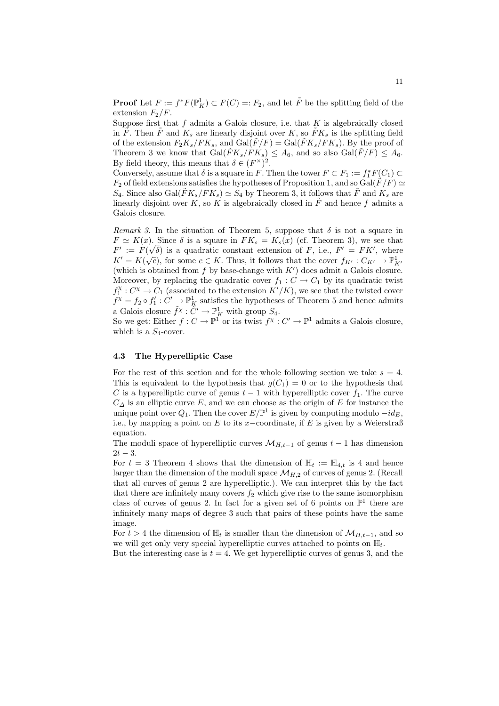**Proof** Let  $F := f^*F(\mathbb{P}^1_K) \subset F(C) =: F_2$ , and let  $\tilde{F}$  be the splitting field of the extension  $F_2/F$ .

Suppose first that  $f$  admits a Galois closure, i.e. that  $K$  is algebraically closed in  $\tilde{F}$ . Then  $\tilde{F}$  and  $K_s$  are linearly disjoint over K, so  $\tilde{F}K_s$  is the splitting field of the extension  $F_2K_s/FK_s$ , and  $Gal(\tilde{F}/F) = Gal(\tilde{F}K_s/FK_s)$ . By the proof of Theorem 3 we know that  $Gal(\tilde{F}K_s/\tilde{F}K_s) \leq A_6$ , and so also  $Gal(\tilde{F}/F) \leq A_6$ . By field theory, this means that  $\delta \in (F^{\times})^2$ .

Conversely, assume that  $\delta$  is a square in F. Then the tower  $F \subset F_1 := f_1^* F(C_1) \subset$  $F_2$  of field extensions satisfies the hypotheses of Proposition 1, and so Gal( $F/F$ )  $\simeq$  $S_4$ . Since also Gal $(\tilde{F}K_s/FK_s) \simeq S_4$  by Theorem 3, it follows that  $\tilde{F}$  and  $K_s$  are linearly disjoint over K, so K is algebraically closed in  $\tilde{F}$  and hence f admits a Galois closure.

Remark 3. In the situation of Theorem 5, suppose that  $\delta$  is not a square in  $F \simeq K(x)$ . Since  $\delta$  is a square in  $FK_s = K_s(x)$  (cf. Theorem 3), we see that  $F' := F(\sqrt{\delta})$  is a quadratic constant extension of F, i.e.,  $F' = F K'$ , where  $K' = K(\sqrt{c})$ , for some  $c \in K$ . Thus, it follows that the cover  $f_{K'} : C_{K'} \to \mathbb{P}^1_{K'}$ (which is obtained from  $f$  by base-change with  $K'$ ) does admit a Galois closure. Moreover, by replacing the quadratic cover  $f_1 : C \to C_1$  by its quadratic twist  $f_1^{\chi}: C^{\chi} \to C_1$  (associated to the extension  $K'/K$ ), we see that the twisted cover  $f^{\chi} = f_2 \circ f_1' : C' \to \mathbb{P}^1_K$  satisfies the hypotheses of Theorem 5 and hence admits a Galois closure  $\tilde{f}^{\chi}: \tilde{C}' \to \mathbb{P}^1_K$  with group  $S_4$ .

So we get: Either  $f: C \to \mathbb{P}^1$  or its twist  $f^\chi: C' \to \mathbb{P}^1$  admits a Galois closure, which is a  $S_4$ -cover.

#### 4.3 The Hyperelliptic Case

For the rest of this section and for the whole following section we take  $s = 4$ . This is equivalent to the hypothesis that  $q(C_1) = 0$  or to the hypothesis that C is a hyperelliptic curve of genus  $t-1$  with hyperelliptic cover  $f_1$ . The curve  $C_{\Delta}$  is an elliptic curve E, and we can choose as the origin of E for instance the unique point over  $Q_1$ . Then the cover  $E/\mathbb{P}^1$  is given by computing modulo  $-id_E$ , i.e., by mapping a point on E to its x-coordinate, if E is given by a Weierstraß equation.

The moduli space of hyperelliptic curves  $\mathcal{M}_{H,t-1}$  of genus  $t-1$  has dimension  $2t - 3$ .

For  $t = 3$  Theorem 4 shows that the dimension of  $\mathbb{H}_t := \mathbb{H}_{4,t}$  is 4 and hence larger than the dimension of the moduli space  $\mathcal{M}_{H,2}$  of curves of genus 2. (Recall that all curves of genus 2 are hyperelliptic.). We can interpret this by the fact that there are infinitely many covers  $f_2$  which give rise to the same isomorphism class of curves of genus 2. In fact for a given set of 6 points on  $\mathbb{P}^1$  there are infinitely many maps of degree 3 such that pairs of these points have the same image.

For  $t > 4$  the dimension of  $\mathbb{H}_t$  is smaller than the dimension of  $\mathcal{M}_{H,t-1}$ , and so we will get only very special hyperelliptic curves attached to points on  $\mathbb{H}_t$ .

But the interesting case is  $t = 4$ . We get hyperelliptic curves of genus 3, and the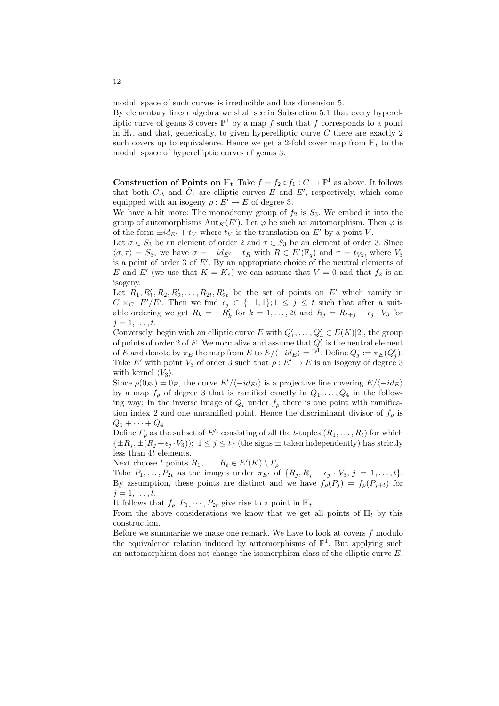moduli space of such curves is irreducible and has dimension 5.

By elementary linear algebra we shall see in Subsection 5.1 that every hyperelliptic curve of genus 3 covers  $\mathbb{P}^1$  by a map f such that f corresponds to a point in  $\mathbb{H}_t$ , and that, generically, to given hyperelliptic curve C there are exactly 2 such covers up to equivalence. Hence we get a 2-fold cover map from  $\mathbb{H}_t$  to the moduli space of hyperelliptic curves of genus 3.

**Construction of Points on**  $\mathbb{H}_t$  Take  $f = f_2 \circ f_1 : C \to \mathbb{P}^1$  as above. It follows that both  $C_{\Delta}$  and  $\tilde{C}_1$  are elliptic curves E and E', respectively, which come equipped with an isogeny  $\rho : E' \to E$  of degree 3.

We have a bit more: The monodromy group of  $f_2$  is  $S_3$ . We embed it into the group of automorphisms  ${\rm Aut}_K(E')$ . Let  $\varphi$  be such an automorphism. Then  $\varphi$  is of the form  $\pm id_{E'} + t_V$  where  $t_V$  is the translation on E' by a point V.

Let  $\sigma \in S_3$  be an element of order 2 and  $\tau \in S_3$  be an element of order 3. Since  $\langle \sigma, \tau \rangle = S_3$ , we have  $\sigma = -id_{E'} + t_R$  with  $R \in E'(\mathbb{F}_q)$  and  $\tau = t_{V_3}$ , where  $V_3$ is a point of order 3 of  $E'$ . By an appropriate choice of the neutral elements of E and E' (we use that  $K = K_s$ ) we can assume that  $V = 0$  and that  $f_2$  is an isogeny.

Let  $R_1, R'_1, R_2, R'_2, \ldots, R_{2t}, R'_{2t}$  be the set of points on E' which ramify in  $C \times_{C_1} E'/E'$ . Then we find  $\epsilon_j \in \{-1,1\}; 1 \leq j \leq t$  such that after a suitable ordering we get  $R_k = -R'_k$  for  $k = 1, ..., 2t$  and  $R_j = R_{t+j} + \epsilon_j \cdot V_3$  for  $j=1,\ldots,t.$ 

Conversely, begin with an elliptic curve E with  $Q'_1, \ldots, Q'_4 \in E(K)[2]$ , the group of points of order 2 of E. We normalize and assume that  $Q'_1$  is the neutral element of E and denote by  $\pi_E$  the map from E to  $E/\langle -id_E \rangle = \mathbb{P}^1$ . Define  $Q_j := \pi_E(Q'_j)$ . Take E' with point  $V_3$  of order 3 such that  $\rho: E' \to E$  is an isogeny of degree 3 with kernel  $\langle V_3 \rangle$ .

Since  $\rho(0_{E'}) = 0_E$ , the curve  $E'/\langle -id_{E'} \rangle$  is a projective line covering  $E/\langle -id_E \rangle$ by a map  $f_{\rho}$  of degree 3 that is ramified exactly in  $Q_1, \ldots, Q_4$  in the following way: In the inverse image of  $Q_i$  under  $f_\rho$  there is one point with ramification index 2 and one unramified point. Hence the discriminant divisor of  $f_{\rho}$  is  $Q_1 + \cdots + Q_4$ .

Define  $\Gamma_{\rho}$  as the subset of  $E'^{t}$  consisting of all the t-tuples  $(R_1, \ldots, R_t)$  for which  $\{\pm R_j, \pm (R_j + \epsilon_j \cdot V_3)\}\$ :  $1 \leq j \leq t\}$  (the signs  $\pm$  taken independently) has strictly less than 4t elements.

Next choose t points  $R_1, \ldots, R_t \in E'(K) \setminus \Gamma_\rho$ .

Take  $P_1, \ldots, P_{2t}$  as the images under  $\pi_{E'}$  of  $\{R_i, R_j + \epsilon_j \cdot V_3, j = 1, \ldots, t\}.$ By assumption, these points are distinct and we have  $f_{\rho}(P_j) = f_{\rho}(P_{j+t})$  for  $j=1,\ldots,t$ .

It follows that  $f_{\rho}, P_1, \cdots, P_{2t}$  give rise to a point in  $\mathbb{H}_t$ .

From the above considerations we know that we get all points of  $\mathbb{H}_t$  by this construction.

Before we summarize we make one remark. We have to look at covers  $f$  modulo the equivalence relation induced by automorphisms of  $\mathbb{P}^1$ . But applying such an automorphism does not change the isomorphism class of the elliptic curve E.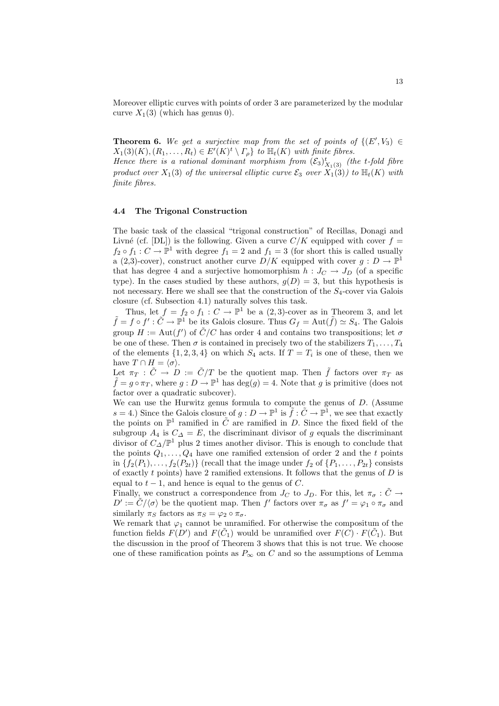Moreover elliptic curves with points of order 3 are parameterized by the modular curve  $X_1(3)$  (which has genus 0).

**Theorem 6.** We get a surjective map from the set of points of  $\{(E', V_3) \in$  $X_1(3)(K), (R_1, \ldots, R_t) \in E'(K)^t \setminus \Gamma_\rho$  to  $\mathbb{H}_t(K)$  with finite fibres.

Hence there is a rational dominant morphism from  $(\mathcal{E}_3)_{X_1(3)}^t$  (the t-fold fibre product over  $X_1(3)$  of the universal elliptic curve  $\mathcal{E}_3$  over  $X_1(3)$  to  $\mathbb{H}_t(K)$  with finite fibres.

#### 4.4 The Trigonal Construction

The basic task of the classical "trigonal construction" of Recillas, Donagi and Livné (cf. [DL]) is the following. Given a curve  $C/K$  equipped with cover  $f =$  $f_2 \circ f_1 : C \to \mathbb{P}^1$  with degree  $f_1 = 2$  and  $f_1 = 3$  (for short this is called usually a (2,3)-cover), construct another curve  $D/K$  equipped with cover  $g: D \to \mathbb{P}^1$ that has degree 4 and a surjective homomorphism  $h: J_C \to J_D$  (of a specific type). In the cases studied by these authors,  $g(D) = 3$ , but this hypothesis is not necessary. Here we shall see that the construction of the  $S<sub>4</sub>$ -cover via Galois closure (cf. Subsection 4.1) naturally solves this task.

Thus, let  $f = f_2 \circ f_1 : C \to \mathbb{P}^1$  be a  $(2,3)$ -cover as in Theorem 3, and let  $\tilde{f} = f \circ f' : \tilde{C} \to \mathbb{P}^1$  be its Galois closure. Thus  $G_f = \text{Aut}(\tilde{f}) \simeq S_4$ . The Galois group  $H := \text{Aut}(f')$  of  $\tilde{C}/C$  has order 4 and contains two transpositions; let  $\sigma$ be one of these. Then  $\sigma$  is contained in precisely two of the stabilizers  $T_1, \ldots, T_4$ of the elements  $\{1, 2, 3, 4\}$  on which  $S_4$  acts. If  $T = T_i$  is one of these, then we have  $T \cap H = \langle \sigma \rangle$ .

Let  $\pi_T : \tilde{C} \to D := \tilde{C}/T$  be the quotient map. Then  $\tilde{f}$  factors over  $\pi_T$  as  $\tilde{f} = g \circ \pi_T$ , where  $g: D \to \mathbb{P}^1$  has  $\deg(g) = 4$ . Note that g is primitive (does not factor over a quadratic subcover).

We can use the Hurwitz genus formula to compute the genus of D. (Assume  $s = 4$ .) Since the Galois closure of  $g: D \to \mathbb{P}^1$  is  $\tilde{f}: \tilde{C} \to \mathbb{P}^1$ , we see that exactly the points on  $\mathbb{P}^1$  ramified in  $\tilde{C}$  are ramified in D. Since the fixed field of the subgroup  $A_4$  is  $C_{\Delta} = E$ , the discriminant divisor of g equals the discriminant divisor of  $C_{\Delta}/\mathbb{P}^1$  plus 2 times another divisor. This is enough to conclude that the points  $Q_1, \ldots, Q_4$  have one ramified extension of order 2 and the t points in  $\{f_2(P_1), \ldots, f_2(P_{2t})\}$  (recall that the image under  $f_2$  of  $\{P_1, \ldots, P_{2t}\}$  consists of exactly  $t$  points) have 2 ramified extensions. It follows that the genus of  $D$  is equal to  $t - 1$ , and hence is equal to the genus of C.

Finally, we construct a correspondence from  $J_C$  to  $J_D$ . For this, let  $\pi_{\sigma} : \tilde{C} \to$  $D' := \tilde{C}/\langle \sigma \rangle$  be the quotient map. Then f' factors over  $\pi_{\sigma}$  as  $f' = \varphi_1 \circ \pi_{\sigma}$  and similarly  $\pi_S$  factors as  $\pi_S = \varphi_2 \circ \pi_{\sigma}$ .

We remark that  $\varphi_1$  cannot be unramified. For otherwise the compositum of the function fields  $F(D')$  and  $F(\tilde{C}_1)$  would be unramified over  $F(\tilde{C}) \cdot F(\tilde{C}_1)$ . But the discussion in the proof of Theorem 3 shows that this is not true. We choose one of these ramification points as  $P_{\infty}$  on C and so the assumptions of Lemma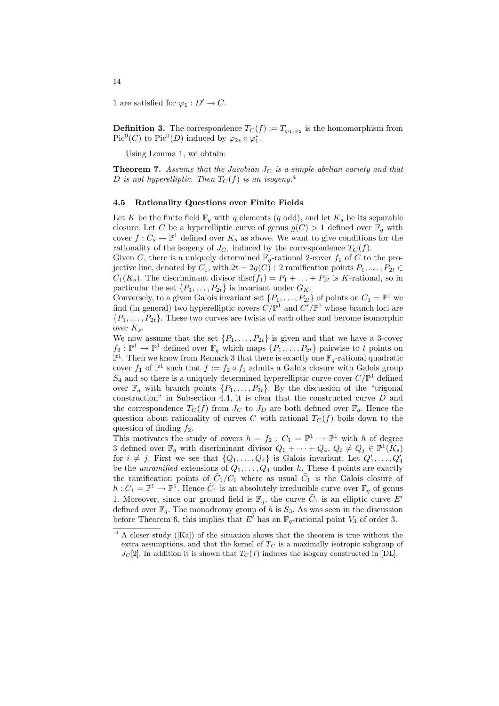1 are satisfied for  $\varphi_1 : D' \to C$ .

**Definition 3.** The correspondence  $T_C(f) := T_{\varphi_1, \varphi_2}$  is the homomorphism from Pic<sup>0</sup>(*C*) to Pic<sup>0</sup>(*D*) induced by  $\varphi_{2*} \circ \varphi_1^*$ .

Using Lemma 1, we obtain:

**Theorem 7.** Assume that the Jacobian  $J_C$  is a simple abelian variety and that D is not hyperelliptic. Then  $T_C(f)$  is an isogeny.<sup>4</sup>

#### 4.5 Rationality Questions over Finite Fields

Let K be the finite field  $\mathbb{F}_q$  with q elements (q odd), and let  $K_s$  be its separable closure. Let C be a hyperelliptic curve of genus  $g(C) > 1$  defined over  $\mathbb{F}_q$  with cover  $f: C_s \to \mathbb{P}^1$  defined over  $K_s$  as above. We want to give conditions for the rationality of the isogeny of  $J_{C_s}$  induced by the correspondence  $T_C(f)$ .

Given C, there is a uniquely determined  $\mathbb{F}_q$ -rational 2-cover  $f_1$  of C to the projective line, denoted by  $C_1$ , with  $2t = 2g(C) + 2$  ramification points  $P_1, \ldots, P_{2t} \in$  $C_1(K_s)$ . The discriminant divisor disc( $f_1$ ) =  $P_1 + \ldots + P_{2t}$  is K-rational, so in particular the set  $\{P_1, \ldots, P_{2t}\}\$ is invariant under  $G_K$ .

Conversely, to a given Galois invariant set  $\{P_1, \ldots, P_{2t}\}\$  of points on  $C_1 = \mathbb{P}^1$  we find (in general) two hyperelliptic covers  $C/\mathbb{P}^1$  and  $C'/\mathbb{P}^1$  whose branch loci are  ${P_1, \ldots, P_{2t}}$ . These two curves are twists of each other and become isomorphic over  $K_s$ .

We now assume that the set  $\{P_1, \ldots, P_{2t}\}$  is given and that we have a 3-cover  $f_2: \mathbb{P}^1 \to \mathbb{P}^1$  defined over  $\mathbb{F}_q$  which maps  $\{P_1, \ldots, P_{2t}\}$  pairwise to t points on  $\mathbb{P}^1$ . Then we know from Remark 3 that there is exactly one  $\mathbb{F}_q$ -rational quadratic cover  $f_1$  of  $\mathbb{P}^1$  such that  $f := f_2 \circ f_1$  admits a Galois closure with Galois group  $S_4$  and so there is a uniquely determined hyperelliptic curve cover  $C/\mathbb{P}^1$  defined over  $\mathbb{F}_q$  with branch points  $\{P_1, \ldots, P_{2t}\}$ . By the discussion of the "trigonal" construction" in Subsection 4.4, it is clear that the constructed curve  $D$  and the correspondence  $T_C(f)$  from  $J_C$  to  $J_D$  are both defined over  $\mathbb{F}_q$ . Hence the question about rationality of curves C with rational  $T_C(f)$  boils down to the question of finding  $f_2$ .

This motivates the study of covers  $h = f_2 : C_1 = \mathbb{P}^1 \to \mathbb{P}^1$  with h of degree 3 defined over  $\mathbb{F}_q$  with discriminant divisor  $Q_1 + \cdots + Q_4$ ,  $Q_i \neq Q_j \in \mathbb{P}^1(K_s)$ for  $i \neq j$ . First we see that  $\{Q_1, \ldots, Q_4\}$  is Galois invariant. Let  $Q'_1, \ldots, Q'_4$ be the unramified extensions of  $Q_1, \ldots, Q_4$  under h. These 4 points are exactly the ramification points of  $\tilde{C}_1/C_1$  where as usual  $\tilde{C}_1$  is the Galois closure of  $h: C_1 = \mathbb{P}^1 \to \mathbb{P}^1$ . Hence  $C_1$  is an absolutely irreducible curve over  $\mathbb{F}_q$  of genus 1. Moreover, since our ground field is  $\mathbb{F}_q$ , the curve  $\tilde{C}_1$  is an elliptic curve E' defined over  $\mathbb{F}_q$ . The monodromy group of h is  $S_3$ . As was seen in the discussion before Theorem 6, this implies that E' has an  $\mathbb{F}_q$ -rational point  $V_3$  of order 3.

<sup>4</sup> A closer study ([Ka]) of the situation shows that the theorem is true without the extra assumptions, and that the kernel of  $T<sub>C</sub>$  is a maximally isotropic subgroup of  $J_c[2]$ . In addition it is shown that  $T_c(f)$  induces the isogeny constructed in [DL].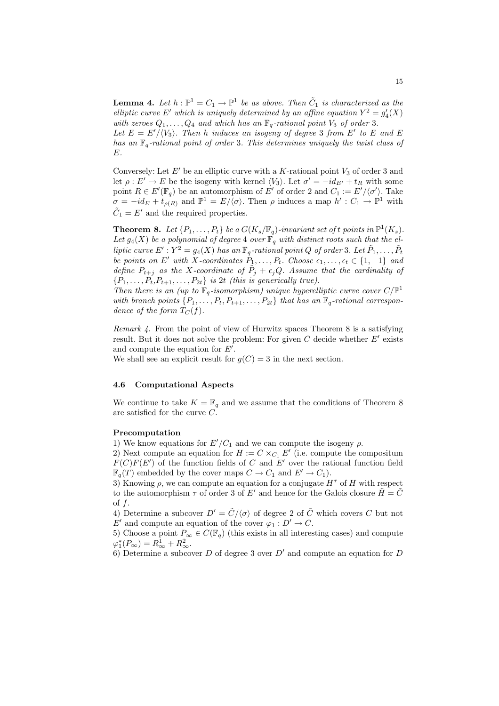**Lemma 4.** Let  $h : \mathbb{P}^1 = C_1 \to \mathbb{P}^1$  be as above. Then  $\tilde{C}_1$  is characterized as the elliptic curve E' which is uniquely determined by an affine equation  $Y^2 = g_4'(X)$ with zeroes  $Q_1, \ldots, Q_4$  and which has an  $\mathbb{F}_q$ -rational point  $V_3$  of order 3.

Let  $E = E'/\langle V_3 \rangle$ . Then h induces an isogeny of degree 3 from E' to E and E has an  $\mathbb{F}_q$ -rational point of order 3. This determines uniquely the twist class of E.

Conversely: Let  $E'$  be an elliptic curve with a K-rational point  $V_3$  of order 3 and let  $\rho: E' \to E$  be the isogeny with kernel  $\langle V_3 \rangle$ . Let  $\sigma' = -id_{E'} + t_R$  with some point  $R \in E'(\mathbb{F}_q)$  be an automorphism of E' of order 2 and  $C_1 := E'/\langle \sigma' \rangle$ . Take  $\sigma = -id_E + t_{\rho(R)}$  and  $\mathbb{P}^1 = E/\langle \sigma \rangle$ . Then  $\rho$  induces a map  $h' : C_1 \to \mathbb{P}^1$  with  $\tilde{C}_1 = E'$  and the required properties.

**Theorem 8.** Let  $\{P_1,\ldots,P_t\}$  be a  $G(K_s/\mathbb{F}_q)$ -invariant set of t points in  $\mathbb{P}^1(K_s)$ . Let  $g_4(X)$  be a polynomial of degree 4 over  $\mathbb{F}_q$  with distinct roots such that the elliptic curve  $E': Y^2 = g_4(X)$  has an  $\mathbb{F}_q$ -rational point Q of order 3. Let  $\tilde{P}_1, \ldots, \tilde{P}_t$ be points on E' with X-coordinates  $P_1, \ldots, P_t$ . Choose  $\epsilon_1, \ldots, \epsilon_t \in \{1, -1\}$  and define  $P_{t+j}$  as the X-coordinate of  $\tilde{P}_j + \epsilon_j Q$ . Assume that the cardinality of  ${P_1, \ldots, P_t, P_{t+1}, \ldots, P_{2t}}$  is 2t (this is generically true).

Then there is an (up to  $\mathbb{F}_q$ -isomorphism) unique hyperelliptic curve cover  $C/\mathbb{P}^1$ with branch points  $\{P_1, \ldots, P_t, P_{t+1}, \ldots, P_{2t}\}\$  that has an  $\mathbb{F}_q$ -rational correspondence of the form  $T_C(f)$ .

Remark 4. From the point of view of Hurwitz spaces Theorem 8 is a satisfying result. But it does not solve the problem: For given  $C$  decide whether  $E'$  exists and compute the equation for  $E'$ .

We shall see an explicit result for  $g(C) = 3$  in the next section.

#### 4.6 Computational Aspects

We continue to take  $K = \mathbb{F}_q$  and we assume that the conditions of Theorem 8 are satisfied for the curve C.

### Precomputation

1) We know equations for  $E'/C_1$  and we can compute the isogeny  $\rho$ .

2) Next compute an equation for  $H := C \times_{C_1} E'$  (i.e. compute the compositum  $F(C)F(E')$  of the function fields of C and E' over the rational function field  $\mathbb{F}_q(T)$  embedded by the cover maps  $C \to C_1$  and  $E' \to C_1$ ).

3) Knowing  $\rho$ , we can compute an equation for a conjugate  $H^{\tau}$  of H with respect to the automorphism  $\tau$  of order 3 of E' and hence for the Galois closure  $\tilde{H} = \tilde{C}$ of  $f$ .

4) Determine a subcover  $D' = \tilde{C}/\langle \sigma \rangle$  of degree 2 of  $\tilde{C}$  which covers C but not E' and compute an equation of the cover  $\varphi_1 : D' \to C$ .

5) Choose a point  $P_{\infty} \in C(\mathbb{F}_q)$  (this exists in all interesting cases) and compute  $\varphi_1^*(P_\infty) = R_\infty^1 + R_\infty^2.$ 

6) Determine a subcover D of degree 3 over  $D'$  and compute an equation for D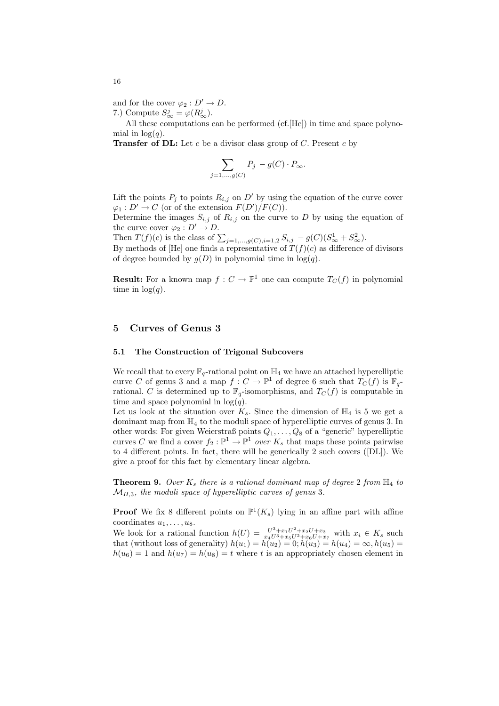and for the cover  $\varphi_2 : D' \to D$ . 7.) Compute  $S^j_{\infty} = \varphi(R^j_{\infty})$ .

All these computations can be performed (cf.[He]) in time and space polynomial in  $log(q)$ .

**Transfer of DL:** Let c be a divisor class group of C. Present c by

$$
\sum_{j=1,\dots,g(C)} P_j - g(C) \cdot P_{\infty}.
$$

Lift the points  $P_i$  to points  $R_{i,j}$  on D' by using the equation of the curve cover  $\varphi_1: D' \to C$  (or of the extension  $F(D')/F(C)$ ).

Determine the images  $S_{i,j}$  of  $R_{i,j}$  on the curve to D by using the equation of the curve cover  $\varphi_2 : D' \to D$ .

Then  $T(f)(c)$  is the class of  $\sum_{j=1,\dots,g(C),i=1,2} S_{i,j} - g(C)(S^1_{\infty} + S^2_{\infty}).$ 

By methods of [He] one finds a representative of  $T(f)(c)$  as difference of divisors of degree bounded by  $g(D)$  in polynomial time in  $log(q)$ .

**Result:** For a known map  $f: C \to \mathbb{P}^1$  one can compute  $T_C(f)$  in polynomial time in  $log(q)$ .

### 5 Curves of Genus 3

### 5.1 The Construction of Trigonal Subcovers

We recall that to every  $\mathbb{F}_q$ -rational point on  $\mathbb{H}_4$  we have an attached hyperelliptic curve C of genus 3 and a map  $f: C \to \mathbb{P}^1$  of degree 6 such that  $T_C(f)$  is  $\mathbb{F}_q$ rational. C is determined up to  $\mathbb{F}_q$ -isomorphisms, and  $T_C(f)$  is computable in time and space polynomial in  $log(q)$ .

Let us look at the situation over  $K_s$ . Since the dimension of  $\mathbb{H}_4$  is 5 we get a dominant map from  $\mathbb{H}_4$  to the moduli space of hyperelliptic curves of genus 3. In other words: For given Weierstraß points  $Q_1, \ldots, Q_8$  of a "generic" hyperelliptic curves C we find a cover  $f_2 : \mathbb{P}^1 \to \mathbb{P}^1$  over  $K_s$  that maps these points pairwise to 4 different points. In fact, there will be generically 2 such covers ([DL]). We give a proof for this fact by elementary linear algebra.

**Theorem 9.** Over  $K_s$  there is a rational dominant map of degree 2 from  $\mathbb{H}_4$  to  $\mathcal{M}_{H,3}$ , the moduli space of hyperelliptic curves of genus 3.

**Proof** We fix 8 different points on  $\mathbb{P}^1(K_s)$  lying in an affine part with affine coordinates  $u_1, \ldots, u_8$ .

We look for a rational function  $h(U) = \frac{U^3 + x_1 U^2 + x_2 U + x_3}{x_4 U^3 + x_5 U^2 + x_6 U + x_7}$  with  $x_i \in K_s$  such that (without loss of generality)  $h(u_1) = h(u_2) = 0; h(u_3) = h(u_4) = \infty, h(u_5) =$  $h(u_6) = 1$  and  $h(u_7) = h(u_8) = t$  where t is an appropriately chosen element in

16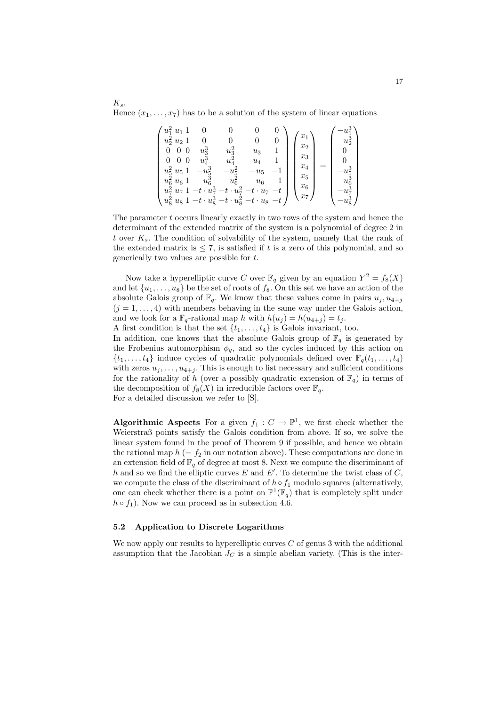$K_s$ . Hence  $(x_1, \ldots, x_7)$  has to be a solution of the system of linear equations

| $u_1^2 u_1$<br>$u_2^2 u_2$<br>0<br>0<br>$u_5^2$<br>$\boldsymbol{u_5}$<br>$u_6^*$<br>$u_{6}$<br>$u_{\tilde{7}}$<br>$u_7$<br>$u_8^2$<br>$u_{8}$ | $u_3^3$<br>$u_{\lambda}^{\rm c}$<br>$-u_{\rm E}$<br>$\cdot u_7^3$ -<br>$\cdot u_{\infty}^{3}$ | $u_3^2$<br>$u_4$<br>$u$ इ<br>$u_{\tau}^2$<br>$-t$<br>$\cdot u_8^2$ | $u_3$<br>$u_{4}$<br>$u_5$<br>$u_{\rm 6}$<br>$u_8$<br>$-t$ | U<br>$-t$ | $x_1$<br>$x_2$<br>$x_3$<br>$x_4$<br>$x_5$<br>$x_6$<br>$x_7$ |  | นร |
|-----------------------------------------------------------------------------------------------------------------------------------------------|-----------------------------------------------------------------------------------------------|--------------------------------------------------------------------|-----------------------------------------------------------|-----------|-------------------------------------------------------------|--|----|
|-----------------------------------------------------------------------------------------------------------------------------------------------|-----------------------------------------------------------------------------------------------|--------------------------------------------------------------------|-----------------------------------------------------------|-----------|-------------------------------------------------------------|--|----|

The parameter t occurs linearly exactly in two rows of the system and hence the determinant of the extended matrix of the system is a polynomial of degree 2 in t over  $K_s$ . The condition of solvability of the system, namely that the rank of the extended matrix is  $\leq 7$ , is satisfied if t is a zero of this polynomial, and so generically two values are possible for t.

Now take a hyperelliptic curve C over  $\mathbb{F}_q$  given by an equation  $Y^2 = f_8(X)$ and let  $\{u_1, \ldots, u_8\}$  be the set of roots of  $f_8$ . On this set we have an action of the absolute Galois group of  $\mathbb{F}_q$ . We know that these values come in pairs  $u_j, u_{4+i}$  $(j = 1, \ldots, 4)$  with members behaving in the same way under the Galois action, and we look for a  $\mathbb{F}_q$ -rational map h with  $h(u_i) = h(u_{4+i}) = t_i$ .

A first condition is that the set  $\{t_1, \ldots, t_4\}$  is Galois invariant, too.

In addition, one knows that the absolute Galois group of  $\mathbb{F}_q$  is generated by the Frobenius automorphism  $\phi_q$ , and so the cycles induced by this action on  $\{t_1, \ldots, t_4\}$  induce cycles of quadratic polynomials defined over  $\mathbb{F}_q(t_1, \ldots, t_4)$ with zeros  $u_j, \ldots, u_{4+j}$ . This is enough to list necessary and sufficient conditions for the rationality of h (over a possibly quadratic extension of  $\mathbb{F}_q$ ) in terms of the decomposition of  $f_8(X)$  in irreducible factors over  $\mathbb{F}_q$ . For a detailed discussion we refer to [S].

**Algorithmic Aspects** For a given  $f_1: C \to \mathbb{P}^1$ , we first check whether the Weierstraß points satisfy the Galois condition from above. If so, we solve the linear system found in the proof of Theorem 9 if possible, and hence we obtain the rational map  $h (= f_2$  in our notation above). These computations are done in an extension field of  $\mathbb{F}_q$  of degree at most 8. Next we compute the discriminant of h and so we find the elliptic curves E and  $E'$ . To determine the twist class of C, we compute the class of the discriminant of  $h \circ f_1$  modulo squares (alternatively, one can check whether there is a point on  $\mathbb{P}^1(\mathbb{F}_q)$  that is completely split under  $h \circ f_1$ ). Now we can proceed as in subsection 4.6.

### 5.2 Application to Discrete Logarithms

We now apply our results to hyperelliptic curves  $C$  of genus 3 with the additional assumption that the Jacobian  $J_C$  is a simple abelian variety. (This is the inter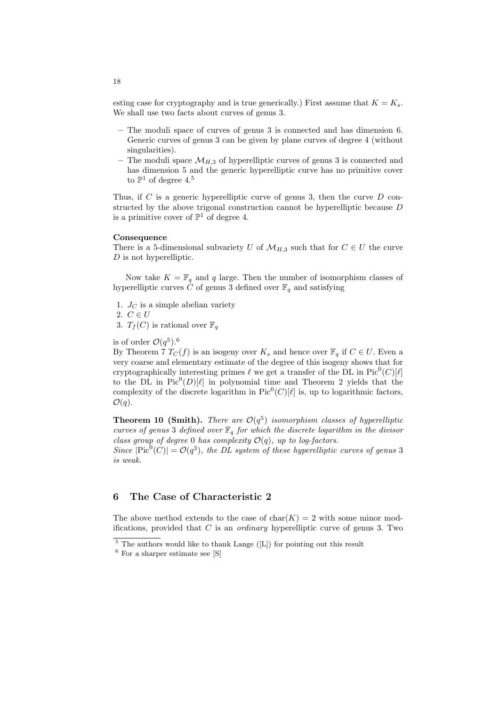esting case for cryptography and is true generically.) First assume that  $K = K_s$ . We shall use two facts about curves of genus 3.

- The moduli space of curves of genus 3 is connected and has dimension 6. Generic curves of genus 3 can be given by plane curves of degree 4 (without singularities).
- The moduli space  $\mathcal{M}_{H,3}$  of hyperelliptic curves of genus 3 is connected and has dimension 5 and the generic hyperelliptic curve has no primitive cover to  $\mathbb{P}^1$  of degree 4.<sup>5</sup>

Thus, if  $C$  is a generic hyperelliptic curve of genus 3, then the curve  $D$  constructed by the above trigonal construction cannot be hyperelliptic because  $D$ is a primitive cover of  $\mathbb{P}^1$  of degree 4.

#### **Consequence**

There is a 5-dimensional subvariety U of  $\mathcal{M}_{H,3}$  such that for  $C \in U$  the curve  $D$  is not hyperelliptic.

Now take  $K = \mathbb{F}_q$  and q large. Then the number of isomorphism classes of hyperelliptic curves C of genus 3 defined over  $\mathbb{F}_q$  and satisfying

- 1.  $J_C$  is a simple abelian variety
- 2.  $C \in U$
- 3.  $T_f(C)$  is rational over  $\mathbb{F}_q$

is of order  $\mathcal{O}(q^5)$ .<sup>6</sup>

By Theorem 7  $T_C(f)$  is an isogeny over  $K_s$  and hence over  $\mathbb{F}_q$  if  $C \in U$ . Even a very coarse and elementary estimate of the degree of this isogeny shows that for cryptographically interesting primes  $\ell$  we get a transfer of the DL in Pic<sup>0</sup>(C)[ $\ell$ ] to the DL in  $Pic^0(D)[\ell]$  in polynomial time and Theorem 2 yields that the complexity of the discrete logarithm in  $Pic^0(C)[\ell]$  is, up to logarithmic factors,  $\mathcal{O}(q)$ .

**Theorem 10 (Smith).** There are  $\mathcal{O}(q^5)$  isomorphism classes of hyperelliptic curves of genus 3 defined over  $\mathbb{F}_q$  for which the discrete logarithm in the divisor class group of degree 0 has complexity  $\mathcal{O}(q)$ , up to log-factors.

Since  $|\text{Pic}^0(C)| = \mathcal{O}(q^3)$ , the DL system of these hyperelliptic curves of genus 3 is weak.

# 6 The Case of Characteristic 2

The above method extends to the case of  $char(K) = 2$  with some minor modifications, provided that  $C$  is an *ordinary* hyperelliptic curve of genus 3. Two

 $\frac{5}{6}$  The authors would like to thank Lange ([L]) for pointing out this result

 $6$  For a sharper estimate see [S]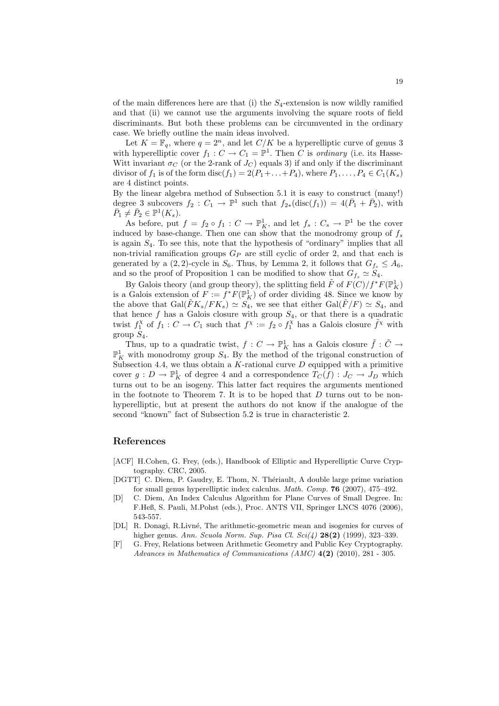of the main differences here are that (i) the  $S_4$ -extension is now wildly ramified and that (ii) we cannot use the arguments involving the square roots of field discriminants. But both these problems can be circumvented in the ordinary case. We briefly outline the main ideas involved.

Let  $K = \mathbb{F}_q$ , where  $q = 2^n$ , and let  $C/K$  be a hyperelliptic curve of genus 3 with hyperelliptic cover  $f_1: C \to C_1 = \mathbb{P}^1$ . Then C is ordinary (i.e. its Hasse-Witt invariant  $\sigma_C$  (or the 2-rank of  $J_C$ ) equals 3) if and only if the discriminant divisor of  $f_1$  is of the form disc( $f_1$ ) = 2( $P_1 + \ldots + P_4$ ), where  $P_1, \ldots, P_4 \in C_1(K_s)$ are 4 distinct points.

By the linear algebra method of Subsection 5.1 it is easy to construct (many!) degree 3 subcovers  $f_2: C_1 \to \mathbb{P}^1$  such that  $f_{2*}(\text{disc}(f_1)) = 4(\bar{P}_1 + \bar{P}_2)$ , with  $\overline{\overline{P}_1} \neq \overline{P}_2 \in \mathbb{P}^1(K_s).$ 

As before, put  $f = f_2 \circ f_1 : C \to \mathbb{P}^1_K$ , and let  $f_s : C_s \to \mathbb{P}^1$  be the cover induced by base-change. Then one can show that the monodromy group of  $f_s$ is again  $S_4$ . To see this, note that the hypothesis of "ordinary" implies that all non-trivial ramification groups  $G_P$  are still cyclic of order 2, and that each is generated by a (2, 2)-cycle in  $S_6$ . Thus, by Lemma 2, it follows that  $G_{f_s} \leq A_6$ , and so the proof of Proposition 1 can be modified to show that  $G_{f_s} \simeq S_4$ .

By Galois theory (and group theory), the splitting field  $\tilde{F}$  of  $F(C)/f^*F(\mathbb{P}^1_K)$ is a Galois extension of  $F := f^*F(\mathbb{P}^1_K)$  of order dividing 48. Since we know by the above that  $Gal(\tilde{F}K_s/FK_s) \simeq S_4$ , we see that either  $Gal(\tilde{F}/F) \simeq S_4$ , and that hence  $f$  has a Galois closure with group  $S_4$ , or that there is a quadratic twist  $f_1^{\chi}$  of  $f_1: C \to C_1$  such that  $f^{\chi} := f_2 \circ f_1^{\chi}$  has a Galois closure  $\tilde{f}^{\chi}$  with group  $S_4$ .

Thus, up to a quadratic twist,  $f: C \to \mathbb{P}^1_K$  has a Galois closure  $\tilde{f}: \tilde{C} \to$  $\mathbb{P}^1_K$  with monodromy group  $S_4$ . By the method of the trigonal construction of Subsection 4.4, we thus obtain a  $K$ -rational curve  $D$  equipped with a primitive cover  $g: D \to \mathbb{P}^1_K$  of degree 4 and a correspondence  $T_C(f): J_C \to J_D$  which turns out to be an isogeny. This latter fact requires the arguments mentioned in the footnote to Theorem 7. It is to be hoped that  $D$  turns out to be nonhyperelliptic, but at present the authors do not know if the analogue of the second "known" fact of Subsection 5.2 is true in characteristic 2.

### References

- [ACF] H.Cohen, G. Frey, (eds.), Handbook of Elliptic and Hyperelliptic Curve Cryptography. CRC, 2005.
- [DGTT] C. Diem, P. Gaudry, E. Thom, N. Thériault, A double large prime variation for small genus hyperelliptic index calculus. Math. Comp. 76 (2007), 475–492.
- [D] C. Diem, An Index Calculus Algorithm for Plane Curves of Small Degree. In: F.Heß, S. Pauli, M.Pohst (eds.), Proc. ANTS VII, Springer LNCS 4076 (2006), 543-557.
- [DL] R. Donagi, R.Livn´e, The arithmetic-geometric mean and isogenies for curves of higher genus. Ann. Scuola Norm. Sup. Pisa Cl. Sci(4) 28(2) (1999), 323-339.
- [F] G. Frey, Relations between Arithmetic Geometry and Public Key Cryptography. Advances in Mathematics of Communications (AMC) 4(2) (2010), 281 - 305.